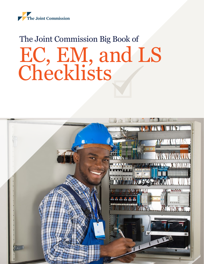

## The Joint Commission Big Book of EC, EM, and LS Checklists

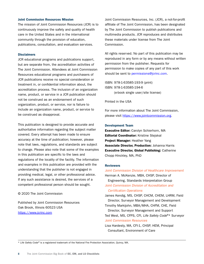### Joint Commission Resources Mission

The mission of Joint Commission Resources (JCR) is to continuously improve the safety and quality of health care in the United States and in the international community through the provision of education, publications, consultation, and evaluation services.

## **Disclaimers**

JCR educational programs and publications support, but are separate from, the accreditation activities of The Joint Commission. Attendees at Joint Commission Resources educational programs and purchasers of JCR publications receive no special consideration or treatment in, or confidential information about, the accreditation process. The inclusion of an organization name, product, or service in a JCR publication should not be construed as an endorsement of such organization, product, or service, nor is failure to include an organization name, product, or service to be construed as disapproval.

This publication is designed to provide accurate and authoritative information regarding the subject matter covered. Every attempt has been made to ensure accuracy at the time of publication; however, please note that laws, regulations, and standards are subject to change. Please also note that some of the examples in this publication are specific to the laws and regulations of the locality of the facility. The information and examples in this publication are provided with the understanding that the publisher is not engaged in providing medical, legal, or other professional advice. If any such assistance is desired, the services of a competent professional person should be sought.

### © 2020 The Joint Commission

Published by Joint Commission Resources Oak Brook, Illinois 60523 USA <https://www.jcrinc.com>

Joint Commission Resources, Inc. (JCR), a not-for-profit affiliate of The Joint Commission, has been designated by The Joint Commission to publish publications and multimedia products. JCR reproduces and distributes these materials under license from The Joint Commission.

All rights reserved. No part of this publication may be reproduced in any form or by any means without written permission from the publisher. Requests for permission to make copies of any part of this work should be sent to [permissions@jcrinc.com.](mailto:permissions@jcrinc.com)

ISBN: 978-1-63585-193-9 (print) ISBN: 978-1-63585-194-6 (e-book single user/site license)

Printed in the USA

For more information about The Joint Commission, please visit [https://www.jointcommission.org.](https://www.jointcommission.org)

### Development Team

Executive Editor: Carolyn Schierhorn, MA Editorial Coordinator: Kristine Stejskal Project Manager: Heather Yang Associate Director, Production: Johanna Harris Executive Director, Global Publishing: Catherine Chopp Hinckley, MA, PhD

### **Reviewers**

*Joint Commission Division of Healthcare Improvement* Herman A. McKenzie, MBA, CHSP, Director of Engineering, Standards Interpretation Group *Joint Commission Division of Accreditation and Certification Operations*

James Kendig, MS, CHSP, CHCM, CHEM, LHRM, Field Director, Surveyor Management and Development

Timothy Markijohn, MBA/MHA, CHFM, CHE, Field Director, Surveyor Management and Support Ted West, MS, CFPS, CFI, *Life Safety Code*®\* Surveyor *Joint Commission Resources*

Lisa Hardesty, MA, CFI-1, CHSP, HEM, Principal Consultant, Environment of Care

\* *Life Safety Code* ® is a registered trademark of the National Fire Protection Association, Quincy, MA.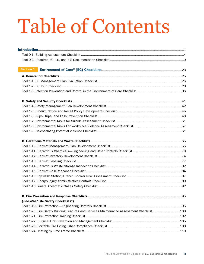# Table of Contents

| Section 1                                                                                  |  |
|--------------------------------------------------------------------------------------------|--|
|                                                                                            |  |
|                                                                                            |  |
|                                                                                            |  |
|                                                                                            |  |
|                                                                                            |  |
|                                                                                            |  |
|                                                                                            |  |
|                                                                                            |  |
|                                                                                            |  |
|                                                                                            |  |
|                                                                                            |  |
|                                                                                            |  |
|                                                                                            |  |
|                                                                                            |  |
|                                                                                            |  |
|                                                                                            |  |
|                                                                                            |  |
|                                                                                            |  |
|                                                                                            |  |
|                                                                                            |  |
|                                                                                            |  |
|                                                                                            |  |
|                                                                                            |  |
| (See also "Life Safety Checklists")                                                        |  |
|                                                                                            |  |
| Tool 1-20. Fire Safety Building Features and Services Maintenance Assessment Checklist 100 |  |
|                                                                                            |  |
|                                                                                            |  |
|                                                                                            |  |
|                                                                                            |  |